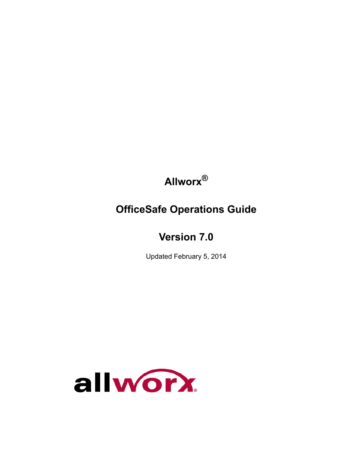

## **OfficeSafe Operations Guide**

### **Version 7.0**

Updated February 5, 2014

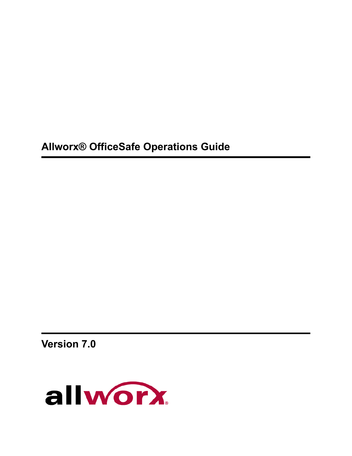**Allworx® OfficeSafe Operations Guide**

**Version 7.0**

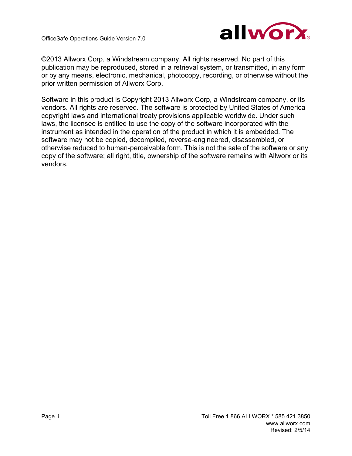OfficeSafe Operations Guide Version 7.0



©2013 Allworx Corp, a Windstream company. All rights reserved. No part of this publication may be reproduced, stored in a retrieval system, or transmitted, in any form or by any means, electronic, mechanical, photocopy, recording, or otherwise without the prior written permission of Allworx Corp.

Software in this product is Copyright 2013 Allworx Corp, a Windstream company, or its vendors. All rights are reserved. The software is protected by United States of America copyright laws and international treaty provisions applicable worldwide. Under such laws, the licensee is entitled to use the copy of the software incorporated with the instrument as intended in the operation of the product in which it is embedded. The software may not be copied, decompiled, reverse-engineered, disassembled, or otherwise reduced to human-perceivable form. This is not the sale of the software or any copy of the software; all right, title, ownership of the software remains with Allworx or its vendors.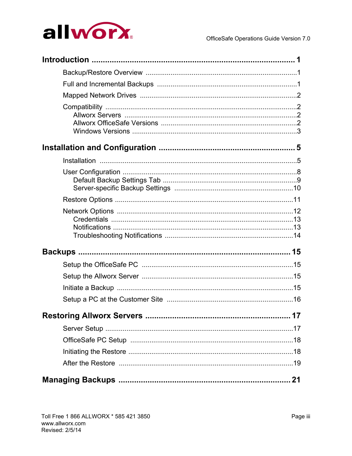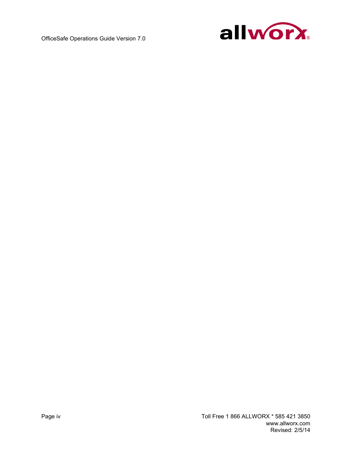OfficeSafe Operations Guide Version 7.0

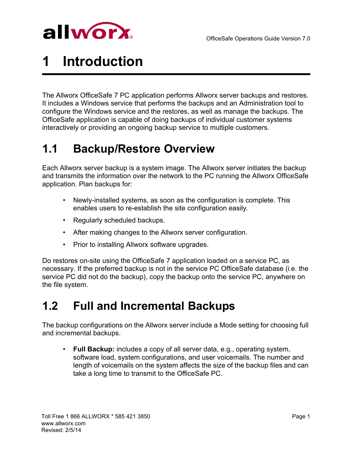

# <span id="page-6-0"></span>**1 Introduction**

The Allworx OfficeSafe 7 PC application performs Allworx server backups and restores. It includes a Windows service that performs the backups and an Administration tool to configure the Windows service and the restores, as well as manage the backups. The OfficeSafe application is capable of doing backups of individual customer systems interactively or providing an ongoing backup service to multiple customers.

## <span id="page-6-1"></span>**1.1 Backup/Restore Overview**

Each Allworx server backup is a system image. The Allworx server initiates the backup and transmits the information over the network to the PC running the Allworx OfficeSafe application. Plan backups for:

- Newly-installed systems, as soon as the configuration is complete. This enables users to re-establish the site configuration easily.
- Regularly scheduled backups.
- After making changes to the Allworx server configuration.
- Prior to installing Allworx software upgrades.

Do restores on-site using the OfficeSafe 7 application loaded on a service PC, as necessary. If the preferred backup is not in the service PC OfficeSafe database (i.e. the service PC did not do the backup), copy the backup onto the service PC, anywhere on the file system.

## <span id="page-6-2"></span>**1.2 Full and Incremental Backups**

The backup configurations on the Allworx server include a Mode setting for choosing full and incremental backups.

• **Full Backup:** includes a copy of all server data, e.g., operating system, software load, system configurations, and user voicemails. The number and length of voicemails on the system affects the size of the backup files and can take a long time to transmit to the OfficeSafe PC.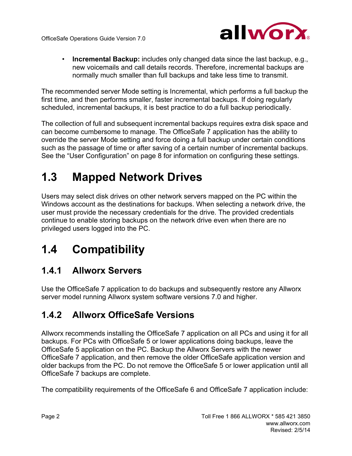

• **Incremental Backup:** includes only changed data since the last backup, e.g., new voicemails and call details records. Therefore, incremental backups are normally much smaller than full backups and take less time to transmit.

The recommended server Mode setting is Incremental, which performs a full backup the first time, and then performs smaller, faster incremental backups. If doing regularly scheduled, incremental backups, it is best practice to do a full backup periodically.

The collection of full and subsequent incremental backups requires extra disk space and can become cumbersome to manage. The OfficeSafe 7 application has the ability to override the server Mode setting and force doing a full backup under certain conditions such as the passage of time or after saving of a certain number of incremental backups. See the ["User Configuration" on page 8](#page-13-1) for information on configuring these settings.

## <span id="page-7-0"></span>**1.3 Mapped Network Drives**

Users may select disk drives on other network servers mapped on the PC within the Windows account as the destinations for backups. When selecting a network drive, the user must provide the necessary credentials for the drive. The provided credentials continue to enable storing backups on the network drive even when there are no privileged users logged into the PC.

# <span id="page-7-1"></span>**1.4 Compatibility**

### <span id="page-7-2"></span>**1.4.1 Allworx Servers**

Use the OfficeSafe 7 application to do backups and subsequently restore any Allworx server model running Allworx system software versions 7.0 and higher.

### <span id="page-7-3"></span>**1.4.2 Allworx OfficeSafe Versions**

Allworx recommends installing the OfficeSafe 7 application on all PCs and using it for all backups. For PCs with OfficeSafe 5 or lower applications doing backups, leave the OfficeSafe 5 application on the PC. Backup the Allworx Servers with the newer OfficeSafe 7 application, and then remove the older OfficeSafe application version and older backups from the PC. Do not remove the OfficeSafe 5 or lower application until all OfficeSafe 7 backups are complete.

The compatibility requirements of the OfficeSafe 6 and OfficeSafe 7 application include: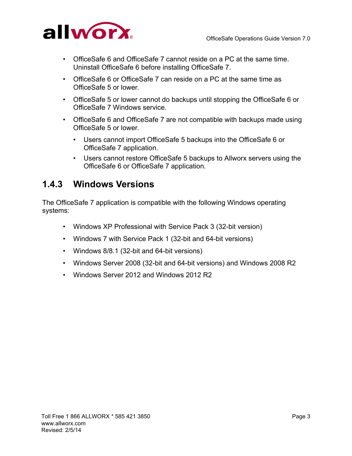



- OfficeSafe 6 and OfficeSafe 7 cannot reside on a PC at the same time. Uninstall OfficeSafe 6 before installing OfficeSafe 7.
- OfficeSafe 6 or OfficeSafe 7 can reside on a PC at the same time as OfficeSafe 5 or lower.
- OfficeSafe 5 or lower cannot do backups until stopping the OfficeSafe 6 or OfficeSafe 7 Windows service.
- OfficeSafe 6 and OfficeSafe 7 are not compatible with backups made using OfficeSafe 5 or lower.
	- Users cannot import OfficeSafe 5 backups into the OfficeSafe 6 or OfficeSafe 7 application.
	- Users cannot restore OfficeSafe 5 backups to Allworx servers using the OfficeSafe 6 or OfficeSafe 7 application.

### <span id="page-8-0"></span>**1.4.3 Windows Versions**

The OfficeSafe 7 application is compatible with the following Windows operating systems:

- Windows XP Professional with Service Pack 3 (32-bit version)
- Windows 7 with Service Pack 1 (32-bit and 64-bit versions)
- Windows 8/8.1 (32-bit and 64-bit versions)
- Windows Server 2008 (32-bit and 64-bit versions) and Windows 2008 R2
- Windows Server 2012 and Windows 2012 R2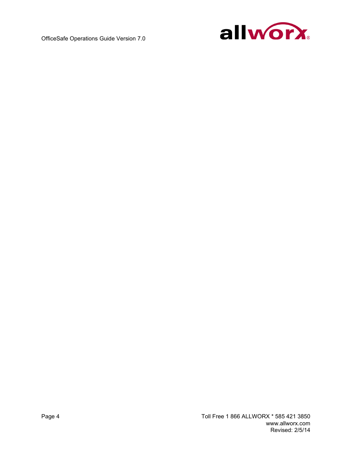OfficeSafe Operations Guide Version 7.0

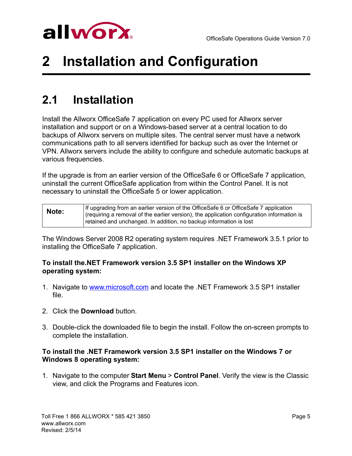

# <span id="page-10-0"></span>**2 Installation and Configuration**

## <span id="page-10-1"></span>**2.1 Installation**

Install the Allworx OfficeSafe 7 application on every PC used for Allworx server installation and support or on a Windows-based server at a central location to do backups of Allworx servers on multiple sites. The central server must have a network communications path to all servers identified for backup such as over the Internet or VPN. Allworx servers include the ability to configure and schedule automatic backups at various frequencies.

If the upgrade is from an earlier version of the OfficeSafe 6 or OfficeSafe 7 application, uninstall the current OfficeSafe application from within the Control Panel. It is not necessary to uninstall the OfficeSafe 5 or lower application.

| Note: | If upgrading from an earlier version of the OfficeSafe 6 or OfficeSafe 7 application       |
|-------|--------------------------------------------------------------------------------------------|
|       | (requiring a removal of the earlier version), the application configuration information is |
|       | retained and unchanged. In addition, no backup information is lost                         |

The Windows Server 2008 R2 operating system requires .NET Framework 3.5.1 prior to installing the OfficeSafe 7 application.

### **To install the.NET Framework version 3.5 SP1 installer on the Windows XP operating system:**

- 1. Navigate to <www.microsoft.com>and locate the .NET Framework 3.5 SP1 installer file.
- 2. Click the **Download** button.
- 3. Double-click the downloaded file to begin the install. Follow the on-screen prompts to complete the installation.

### **To install the .NET Framework version 3.5 SP1 installer on the Windows 7 or Windows 8 operating system:**

1. Navigate to the computer **Start Menu** > **Control Panel**. Verify the view is the Classic view, and click the Programs and Features icon.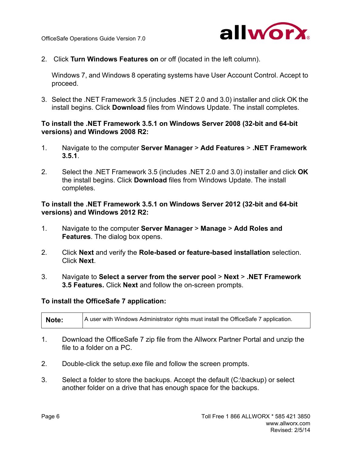

2. Click **Turn Windows Features on** or off (located in the left column).

Windows 7, and Windows 8 operating systems have User Account Control. Accept to proceed.

3. Select the .NET Framework 3.5 (includes .NET 2.0 and 3.0) installer and click OK the install begins. Click **Download** files from Windows Update. The install completes.

### **To install the .NET Framework 3.5.1 on Windows Server 2008 (32-bit and 64-bit versions) and Windows 2008 R2:**

- 1. Navigate to the computer **Server Manager** > **Add Features** > **.NET Framework 3.5.1**.
- 2. Select the .NET Framework 3.5 (includes .NET 2.0 and 3.0) installer and click **OK** the install begins. Click **Download** files from Windows Update. The install completes.

#### **To install the .NET Framework 3.5.1 on Windows Server 2012 (32-bit and 64-bit versions) and Windows 2012 R2:**

- 1. Navigate to the computer **Server Manager** > **Manage** > **Add Roles and Features**. The dialog box opens.
- 2. Click **Next** and verify the **Role-based or feature-based installation** selection. Click **Next**.
- 3. Navigate to **Select a server from the server pool** > **Next** > **.NET Framework 3.5 Features.** Click **Next** and follow the on-screen prompts.

### **To install the OfficeSafe 7 application:**

- 1. Download the OfficeSafe 7 zip file from the Allworx Partner Portal and unzip the file to a folder on a PC.
- 2. Double-click the setup.exe file and follow the screen prompts.
- 3. Select a folder to store the backups. Accept the default (C:\backup) or select another folder on a drive that has enough space for the backups.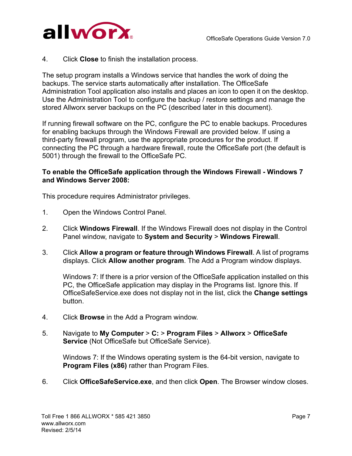

#### 4. Click **Close** to finish the installation process.

The setup program installs a Windows service that handles the work of doing the backups. The service starts automatically after installation. The OfficeSafe Administration Tool application also installs and places an icon to open it on the desktop. Use the Administration Tool to configure the backup / restore settings and manage the stored Allworx server backups on the PC (described later in this document).

If running firewall software on the PC, configure the PC to enable backups. Procedures for enabling backups through the Windows Firewall are provided below. If using a third-party firewall program, use the appropriate procedures for the product. If connecting the PC through a hardware firewall, route the OfficeSafe port (the default is 5001) through the firewall to the OfficeSafe PC.

### **To enable the OfficeSafe application through the Windows Firewall - Windows 7 and Windows Server 2008:**

This procedure requires Administrator privileges.

- 1. Open the Windows Control Panel.
- 2. Click **Windows Firewall**. If the Windows Firewall does not display in the Control Panel window, navigate to **System and Security** > **Windows Firewall**.
- 3. Click **Allow a program or feature through Windows Firewall**. A list of programs displays. Click **Allow another program**. The Add a Program window displays.

Windows 7: If there is a prior version of the OfficeSafe application installed on this PC, the OfficeSafe application may display in the Programs list. Ignore this. If OfficeSafeService.exe does not display not in the list, click the **Change settings** button.

- 4. Click **Browse** in the Add a Program window.
- 5. Navigate to **My Computer** > **C:** > **Program Files** > **Allworx** > **OfficeSafe Service** (Not OfficeSafe but OfficeSafe Service).

Windows 7: If the Windows operating system is the 64-bit version, navigate to **Program Files (x86)** rather than Program Files.

6. Click **OfficeSafeService.exe**, and then click **Open**. The Browser window closes.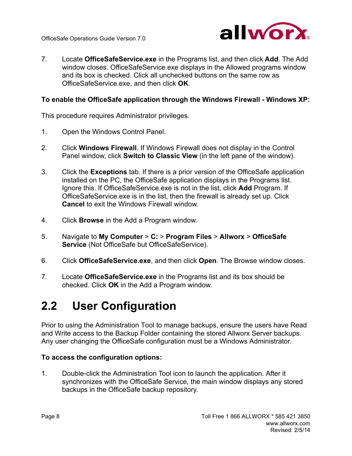

7. Locate **OfficeSafeService.exe** in the Programs list, and then click **Add**. The Add window closes. OfficeSafeService.exe displays in the Allowed programs window and its box is checked. Click all unchecked buttons on the same row as OfficeSafeService.exe, and then click **OK**.

### **To enable the OfficeSafe application through the Windows Firewall - Windows XP:**

This procedure requires Administrator privileges.

- 1. Open the Windows Control Panel.
- 2. Click **Windows Firewall**. If Windows Firewall does not display in the Control Panel window, click **Switch to Classic View** (in the left pane of the window).
- 3. Click the **Exceptions** tab. If there is a prior version of the OfficeSafe application installed on the PC, the OfficeSafe application displays in the Programs list. Ignore this. If OfficeSafeService.exe is not in the list, click **Add** Program. If OfficeSafeService.exe is in the list, then the firewall is already set up. Click **Cancel** to exit the Windows Firewall window.
- 4. Click **Browse** in the Add a Program window.
- 5. Navigate to **My Computer** > **C:** > **Program Files** > **Allworx** > **OfficeSafe Service** (Not OfficeSafe but OfficeSafeService).
- 6. Click **OfficeSafeService.exe**, and then click **Open**. The Browse window closes.
- 7. Locate **OfficeSafeService.exe** in the Programs list and its box should be checked. Click **OK** in the Add a Program window.

## <span id="page-13-1"></span><span id="page-13-0"></span>**2.2 User Configuration**

Prior to using the Administration Tool to manage backups, ensure the users have Read and Write access to the Backup Folder containing the stored Allworx Server backups. Any user changing the OfficeSafe configuration must be a Windows Administrator.

### **To access the configuration options:**

1. Double-click the Administration Tool icon to launch the application. After it synchronizes with the OfficeSafe Service, the main window displays any stored backups in the OfficeSafe backup repository.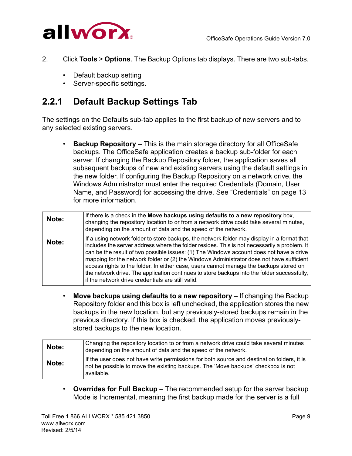

- 2. Click **Tools** > **Options**. The Backup Options tab displays. There are two sub-tabs.
	- Default backup setting
	- Server-specific settings.

### <span id="page-14-0"></span>**2.2.1 Default Backup Settings Tab**

The settings on the Defaults sub-tab applies to the first backup of new servers and to any selected existing servers.

• **Backup Repository** – This is the main storage directory for all OfficeSafe backups. The OfficeSafe application creates a backup sub-folder for each server. If changing the Backup Repository folder, the application saves all subsequent backups of new and existing servers using the default settings in the new folder. If configuring the Backup Repository on a network drive, the Windows Administrator must enter the required Credentials (Domain, User Name, and Password) for accessing the drive. See ["Credentials" on page 13](#page-18-0)  for more information.

| Note: | If there is a check in the Move backups using defaults to a new repository box,<br>changing the repository location to or from a network drive could take several minutes,<br>depending on the amount of data and the speed of the network.                                                                                                                                                                                                                                                                                                                                                                                     |
|-------|---------------------------------------------------------------------------------------------------------------------------------------------------------------------------------------------------------------------------------------------------------------------------------------------------------------------------------------------------------------------------------------------------------------------------------------------------------------------------------------------------------------------------------------------------------------------------------------------------------------------------------|
| Note: | If a using network folder to store backups, the network folder may display in a format that<br>includes the server address where the folder resides. This is not necessarily a problem. It<br>can be the result of two possible issues: (1) The Windows account does not have a drive<br>mapping for the network folder or (2) the Windows Administrator does not have sufficient<br>access rights to the folder. In either case, users cannot manage the backups stored on<br>the network drive. The application continues to store backups into the folder successfully,<br>if the network drive credentials are still valid. |

• **Move backups using defaults to a new repository** – If changing the Backup Repository folder and this box is left unchecked, the application stores the new backups in the new location, but any previously-stored backups remain in the previous directory. If this box is checked, the application moves previouslystored backups to the new location.

| Note: | Changing the repository location to or from a network drive could take several minutes<br>depending on the amount of data and the speed of the network.                                      |
|-------|----------------------------------------------------------------------------------------------------------------------------------------------------------------------------------------------|
| Note: | If the user does not have write permissions for both source and destination folders, it is<br>not be possible to move the existing backups. The 'Move backups' checkbox is not<br>available. |

• **Overrides for Full Backup** – The recommended setup for the server backup Mode is Incremental, meaning the first backup made for the server is a full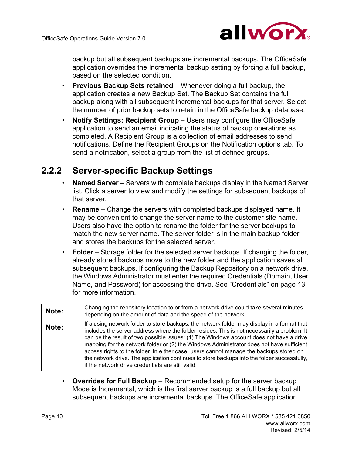

backup but all subsequent backups are incremental backups. The OfficeSafe application overrides the Incremental backup setting by forcing a full backup, based on the selected condition.

- **Previous Backup Sets retained** Whenever doing a full backup, the application creates a new Backup Set. The Backup Set contains the full backup along with all subsequent incremental backups for that server. Select the number of prior backup sets to retain in the OfficeSafe backup database.
- **Notify Settings: Recipient Group** Users may configure the OfficeSafe application to send an email indicating the status of backup operations as completed. A Recipient Group is a collection of email addresses to send notifications. Define the Recipient Groups on the Notification options tab. To send a notification, select a group from the list of defined groups.

### <span id="page-15-0"></span>**2.2.2 Server-specific Backup Settings**

- **Named Server** Servers with complete backups display in the Named Server list. Click a server to view and modify the settings for subsequent backups of that server.
- **Rename** Change the servers with completed backups displayed name. It may be convenient to change the server name to the customer site name. Users also have the option to rename the folder for the server backups to match the new server name. The server folder is in the main backup folder and stores the backups for the selected server.
- **Folder** Storage folder for the selected server backups. If changing the folder, already stored backups move to the new folder and the application saves all subsequent backups. If configuring the Backup Repository on a network drive, the Windows Administrator must enter the required Credentials (Domain, User Name, and Password) for accessing the drive. See ["Credentials" on page 13](#page-18-0) for more information.

| Note: | Changing the repository location to or from a network drive could take several minutes<br>depending on the amount of data and the speed of the network.                                                                                                                                                                                                                                                                                                                                                                                                                                                                         |
|-------|---------------------------------------------------------------------------------------------------------------------------------------------------------------------------------------------------------------------------------------------------------------------------------------------------------------------------------------------------------------------------------------------------------------------------------------------------------------------------------------------------------------------------------------------------------------------------------------------------------------------------------|
| Note: | If a using network folder to store backups, the network folder may display in a format that<br>includes the server address where the folder resides. This is not necessarily a problem. It<br>can be the result of two possible issues: (1) The Windows account does not have a drive<br>mapping for the network folder or (2) the Windows Administrator does not have sufficient<br>access rights to the folder. In either case, users cannot manage the backups stored on<br>the network drive. The application continues to store backups into the folder successfully,<br>if the network drive credentials are still valid. |

• **Overrides for Full Backup** – Recommended setup for the server backup Mode is Incremental, which is the first server backup is a full backup but all subsequent backups are incremental backups. The OfficeSafe application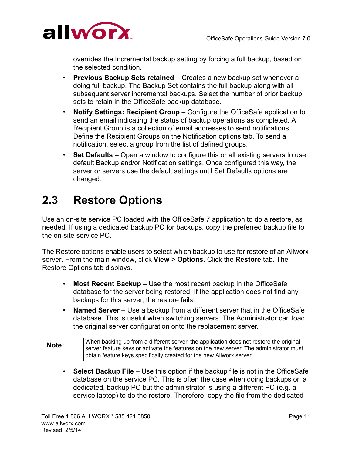

overrides the Incremental backup setting by forcing a full backup, based on the selected condition.

- **Previous Backup Sets retained** Creates a new backup set whenever a doing full backup. The Backup Set contains the full backup along with all subsequent server incremental backups. Select the number of prior backup sets to retain in the OfficeSafe backup database.
- **Notify Settings: Recipient Group** Configure the OfficeSafe application to send an email indicating the status of backup operations as completed. A Recipient Group is a collection of email addresses to send notifications. Define the Recipient Groups on the Notification options tab. To send a notification, select a group from the list of defined groups.
- **Set Defaults** Open a window to configure this or all existing servers to use default Backup and/or Notification settings. Once configured this way, the server or servers use the default settings until Set Defaults options are changed.

## <span id="page-16-0"></span>**2.3 Restore Options**

Use an on-site service PC loaded with the OfficeSafe 7 application to do a restore, as needed. If using a dedicated backup PC for backups, copy the preferred backup file to the on-site service PC.

The Restore options enable users to select which backup to use for restore of an Allworx server. From the main window, click **View** > **Options**. Click the **Restore** tab. The Restore Options tab displays.

- **Most Recent Backup** Use the most recent backup in the OfficeSafe database for the server being restored. If the application does not find any backups for this server, the restore fails.
- **Named Server** Use a backup from a different server that in the OfficeSafe database. This is useful when switching servers. The Administrator can load the original server configuration onto the replacement server.

| Note: | When backing up from a different server, the application does not restore the original |
|-------|----------------------------------------------------------------------------------------|
|       | server feature keys or activate the features on the new server. The administrator must |
|       | obtain feature keys specifically created for the new Allworx server.                   |

• **Select Backup File** – Use this option if the backup file is not in the OfficeSafe database on the service PC. This is often the case when doing backups on a dedicated, backup PC but the administrator is using a different PC (e.g. a service laptop) to do the restore. Therefore, copy the file from the dedicated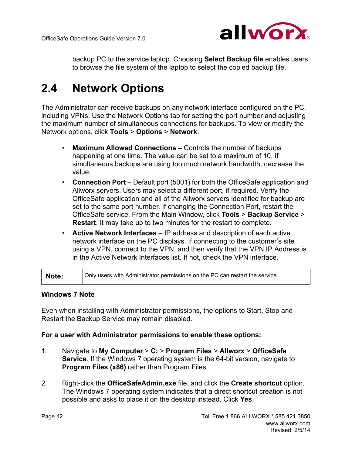

backup PC to the service laptop. Choosing **Select Backup file** enables users to browse the file system of the laptop to select the copied backup file.

## <span id="page-17-0"></span>**2.4 Network Options**

The Administrator can receive backups on any network interface configured on the PC, including VPNs. Use the Network Options tab for setting the port number and adjusting the maximum number of simultaneous connections for backups. To view or modify the Network options, click **Tools** > **Options** > **Network**.

- **Maximum Allowed Connections** Controls the number of backups happening at one time. The value can be set to a maximum of 10. If simultaneous backups are using too much network bandwidth, decrease the value.
- **Connection Port** Default port (5001) for both the OfficeSafe application and Allworx servers. Users may select a different port, if required. Verify the OfficeSafe application and all of the Allworx servers identified for backup are set to the same port number. If changing the Connection Port, restart the OfficeSafe service. From the Main Window, click **Tools** > **Backup Service** > **Restart**. It may take up to two minutes for the restart to complete.
- **Active Network Interfaces** IP address and description of each active network interface on the PC displays. If connecting to the customer's site using a VPN, connect to the VPN, and then verify that the VPN IP Address is in the Active Network Interfaces list. If not, check the VPN interface.

**Note: Only users with Administrator permissions on the PC can restart the service.** 

### **Windows 7 Note**

Even when installing with Administrator permissions, the options to Start, Stop and Restart the Backup Service may remain disabled.

### **For a user with Administrator permissions to enable these options:**

- 1. Navigate to **My Computer** > **C:** > **Program Files** > **Allworx** > **OfficeSafe Service**. If the Windows 7 operating system is the 64-bit version, navigate to **Program Files (x86)** rather than Program Files.
- 2. Right-click the **OfficeSafeAdmin.exe** file, and click the **Create shortcut** option. The Windows 7 operating system indicates that a direct shortcut creation is not possible and asks to place it on the desktop instead. Click **Yes**.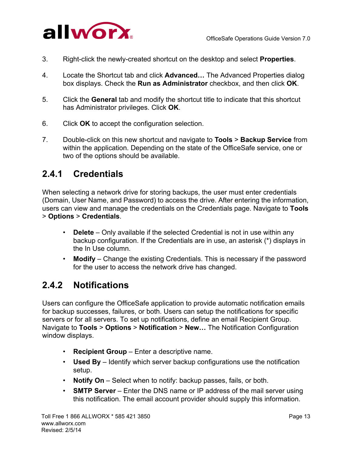

- 3. Right-click the newly-created shortcut on the desktop and select **Properties**.
- 4. Locate the Shortcut tab and click **Advanced…** The Advanced Properties dialog box displays. Check the **Run as Administrator** checkbox, and then click **OK**.
- 5. Click the **General** tab and modify the shortcut title to indicate that this shortcut has Administrator privileges. Click **OK**.
- 6. Click **OK** to accept the configuration selection.
- 7. Double-click on this new shortcut and navigate to **Tools** > **Backup Service** from within the application. Depending on the state of the OfficeSafe service, one or two of the options should be available.

### <span id="page-18-0"></span>**2.4.1 Credentials**

When selecting a network drive for storing backups, the user must enter credentials (Domain, User Name, and Password) to access the drive. After entering the information, users can view and manage the credentials on the Credentials page. Navigate to **Tools** > **Options** > **Credentials**.

- **Delete** Only available if the selected Credential is not in use within any backup configuration. If the Credentials are in use, an asterisk (\*) displays in the In Use column.
- **Modify** Change the existing Credentials. This is necessary if the password for the user to access the network drive has changed.

### <span id="page-18-1"></span>**2.4.2 Notifications**

Users can configure the OfficeSafe application to provide automatic notification emails for backup successes, failures, or both. Users can setup the notifications for specific servers or for all servers. To set up notifications, define an email Recipient Group. Navigate to **Tools** > **Options** > **Notification** > **New…** The Notification Configuration window displays.

- **Recipient Group** Enter a descriptive name.
- **Used By** Identify which server backup configurations use the notification setup.
- **Notify On** Select when to notify: backup passes, fails, or both.
- **SMTP Server** Enter the DNS name or IP address of the mail server using this notification. The email account provider should supply this information.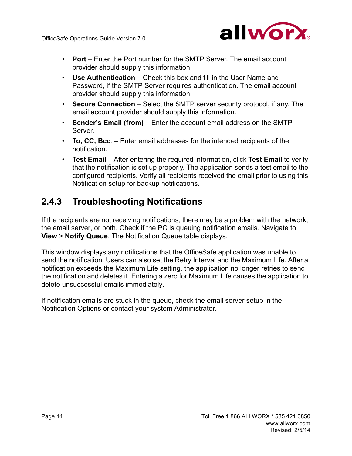

- **Port** Enter the Port number for the SMTP Server. The email account provider should supply this information.
- **Use Authentication** Check this box and fill in the User Name and Password, if the SMTP Server requires authentication. The email account provider should supply this information.
- **Secure Connection** Select the SMTP server security protocol, if any. The email account provider should supply this information.
- **Sender's Email (from)** Enter the account email address on the SMTP Server.
- **To, CC, Bcc**. Enter email addresses for the intended recipients of the notification.
- **Test Email** After entering the required information, click **Test Email** to verify that the notification is set up properly. The application sends a test email to the configured recipients. Verify all recipients received the email prior to using this Notification setup for backup notifications.

### <span id="page-19-0"></span>**2.4.3 Troubleshooting Notifications**

If the recipients are not receiving notifications, there may be a problem with the network, the email server, or both. Check if the PC is queuing notification emails. Navigate to **View** > **Notify Queue**. The Notification Queue table displays.

This window displays any notifications that the OfficeSafe application was unable to send the notification. Users can also set the Retry Interval and the Maximum Life. After a notification exceeds the Maximum Life setting, the application no longer retries to send the notification and deletes it. Entering a zero for Maximum Life causes the application to delete unsuccessful emails immediately.

If notification emails are stuck in the queue, check the email server setup in the Notification Options or contact your system Administrator.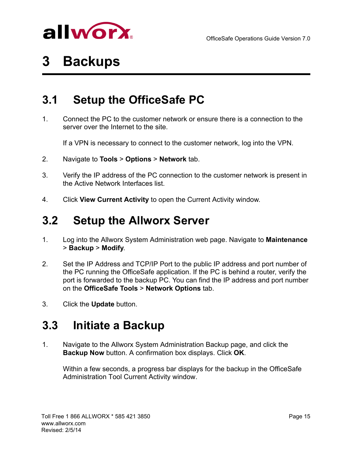

# <span id="page-20-0"></span>**3 Backups**

### <span id="page-20-1"></span>**3.1 Setup the OfficeSafe PC**

1. Connect the PC to the customer network or ensure there is a connection to the server over the Internet to the site.

If a VPN is necessary to connect to the customer network, log into the VPN.

- 2. Navigate to **Tools** > **Options** > **Network** tab.
- 3. Verify the IP address of the PC connection to the customer network is present in the Active Network Interfaces list.
- 4. Click **View Current Activity** to open the Current Activity window.

### <span id="page-20-2"></span>**3.2 Setup the Allworx Server**

- 1. Log into the Allworx System Administration web page. Navigate to **Maintenance** > **Backup** > **Modify**.
- 2. Set the IP Address and TCP/IP Port to the public IP address and port number of the PC running the OfficeSafe application. If the PC is behind a router, verify the port is forwarded to the backup PC. You can find the IP address and port number on the **OfficeSafe Tools** > **Network Options** tab.
- 3. Click the **Update** button.

### <span id="page-20-3"></span>**3.3 Initiate a Backup**

1. Navigate to the Allworx System Administration Backup page, and click the **Backup Now** button. A confirmation box displays. Click **OK**.

Within a few seconds, a progress bar displays for the backup in the OfficeSafe Administration Tool Current Activity window.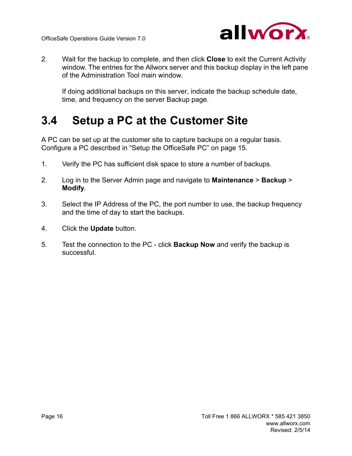

2. Wait for the backup to complete, and then click **Close** to exit the Current Activity window. The entries for the Allworx server and this backup display in the left pane of the Administration Tool main window.

If doing additional backups on this server, indicate the backup schedule date, time, and frequency on the server Backup page.

## <span id="page-21-0"></span>**3.4 Setup a PC at the Customer Site**

A PC can be set up at the customer site to capture backups on a regular basis. Configure a PC described in ["Setup the OfficeSafe PC" on page 15](#page-20-1).

- 1. Verify the PC has sufficient disk space to store a number of backups.
- 2. Log in to the Server Admin page and navigate to **Maintenance** > **Backup** > **Modify**.
- 3. Select the IP Address of the PC, the port number to use, the backup frequency and the time of day to start the backups.
- 4. Click the **Update** button.
- 5. Test the connection to the PC click **Backup Now** and verify the backup is successful.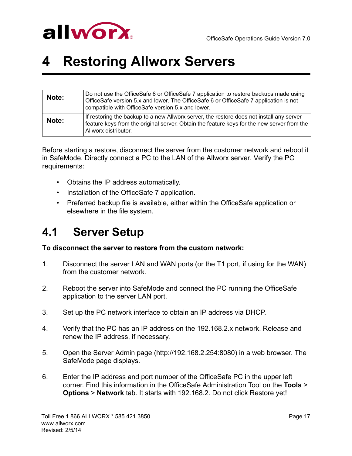

# <span id="page-22-0"></span>**4 Restoring Allworx Servers**

| Note: | Do not use the OfficeSafe 6 or OfficeSafe 7 application to restore backups made using<br>OfficeSafe version 5.x and lower. The OfficeSafe 6 or OfficeSafe 7 application is not<br>compatible with OfficeSafe version 5.x and lower. |
|-------|-------------------------------------------------------------------------------------------------------------------------------------------------------------------------------------------------------------------------------------|
| Note: | If restoring the backup to a new Allworx server, the restore does not install any server<br>feature keys from the original server. Obtain the feature keys for the new server from the<br>Allworx distributor.                      |

Before starting a restore, disconnect the server from the customer network and reboot it in SafeMode. Directly connect a PC to the LAN of the Allworx server. Verify the PC requirements:

- Obtains the IP address automatically.
- Installation of the OfficeSafe 7 application.
- Preferred backup file is available, either within the OfficeSafe application or elsewhere in the file system.

### <span id="page-22-1"></span>**4.1 Server Setup**

#### **To disconnect the server to restore from the custom network:**

- 1. Disconnect the server LAN and WAN ports (or the T1 port, if using for the WAN) from the customer network.
- 2. Reboot the server into SafeMode and connect the PC running the OfficeSafe application to the server LAN port.
- 3. Set up the PC network interface to obtain an IP address via DHCP.
- 4. Verify that the PC has an IP address on the 192.168.2.x network. Release and renew the IP address, if necessary.
- 5. Open the Server Admin page (http://192.168.2.254:8080) in a web browser. The SafeMode page displays.
- 6. Enter the IP address and port number of the OfficeSafe PC in the upper left corner. Find this information in the OfficeSafe Administration Tool on the **Tools** > **Options** > **Network** tab. It starts with 192.168.2. Do not click Restore yet!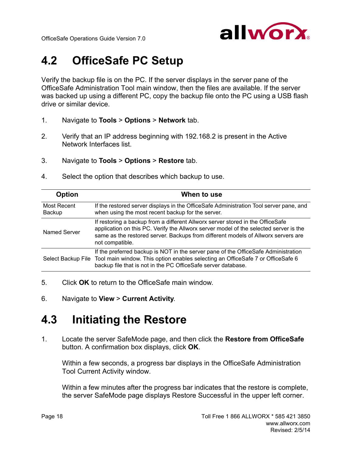

## <span id="page-23-0"></span>**4.2 OfficeSafe PC Setup**

Verify the backup file is on the PC. If the server displays in the server pane of the OfficeSafe Administration Tool main window, then the files are available. If the server was backed up using a different PC, copy the backup file onto the PC using a USB flash drive or similar device.

- 1. Navigate to **Tools** > **Options** > **Network** tab.
- 2. Verify that an IP address beginning with 192.168.2 is present in the Active Network Interfaces list.
- 3. Navigate to **Tools** > **Options** > **Restore** tab.
- 4. Select the option that describes which backup to use.

| Option                | When to use                                                                                                                                                                                                                                                                     |
|-----------------------|---------------------------------------------------------------------------------------------------------------------------------------------------------------------------------------------------------------------------------------------------------------------------------|
| Most Recent<br>Backup | If the restored server displays in the OfficeSafe Administration Tool server pane, and<br>when using the most recent backup for the server.                                                                                                                                     |
| Named Server          | If restoring a backup from a different Allworx server stored in the OfficeSafe<br>application on this PC. Verify the Allworx server model of the selected server is the<br>same as the restored server. Backups from different models of Allworx servers are<br>not compatible. |
|                       | If the preferred backup is NOT in the server pane of the OfficeSafe Administration<br>Select Backup File Tool main window. This option enables selecting an OfficeSafe 7 or OfficeSafe 6<br>backup file that is not in the PC OfficeSafe server database.                       |

- 5. Click **OK** to return to the OfficeSafe main window.
- 6. Navigate to **View** > **Current Activity**.

## <span id="page-23-1"></span>**4.3 Initiating the Restore**

1. Locate the server SafeMode page, and then click the **Restore from OfficeSafe** button. A confirmation box displays, click **OK**.

Within a few seconds, a progress bar displays in the OfficeSafe Administration Tool Current Activity window.

Within a few minutes after the progress bar indicates that the restore is complete, the server SafeMode page displays Restore Successful in the upper left corner.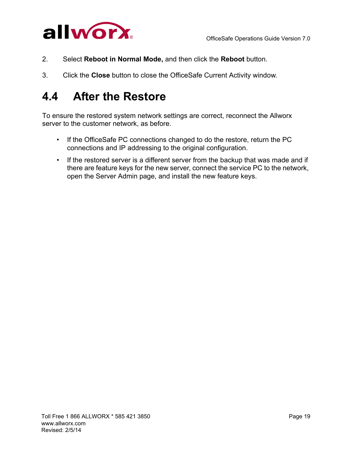



- 2. Select **Reboot in Normal Mode,** and then click the **Reboot** button.
- 3. Click the **Close** button to close the OfficeSafe Current Activity window.

## <span id="page-24-0"></span>**4.4 After the Restore**

To ensure the restored system network settings are correct, reconnect the Allworx server to the customer network, as before.

- If the OfficeSafe PC connections changed to do the restore, return the PC connections and IP addressing to the original configuration.
- If the restored server is a different server from the backup that was made and if there are feature keys for the new server, connect the service PC to the network, open the Server Admin page, and install the new feature keys.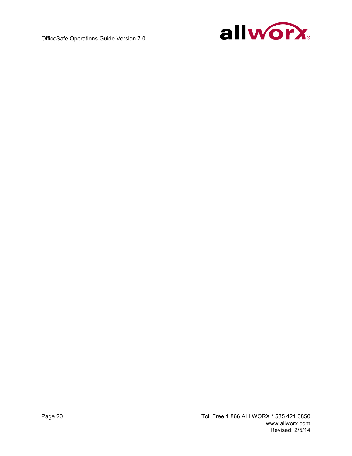OfficeSafe Operations Guide Version 7.0

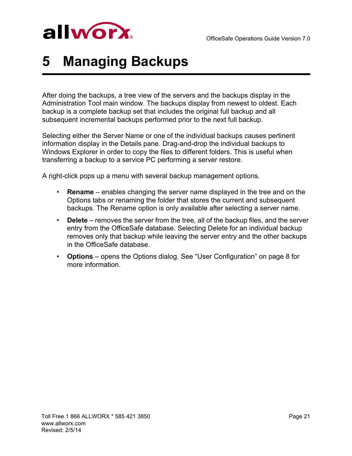

# <span id="page-26-0"></span>**5 Managing Backups**

After doing the backups, a tree view of the servers and the backups display in the Administration Tool main window. The backups display from newest to oldest. Each backup is a complete backup set that includes the original full backup and all subsequent incremental backups performed prior to the next full backup.

Selecting either the Server Name or one of the individual backups causes pertinent information display in the Details pane. Drag-and-drop the individual backups to Windows Explorer in order to copy the files to different folders. This is useful when transferring a backup to a service PC performing a server restore.

A right-click pops up a menu with several backup management options.

- **Rename** enables changing the server name displayed in the tree and on the Options tabs or renaming the folder that stores the current and subsequent backups. The Rename option is only available after selecting a server name.
- **Delete** removes the server from the tree, all of the backup files, and the server entry from the OfficeSafe database. Selecting Delete for an individual backup removes only that backup while leaving the server entry and the other backups in the OfficeSafe database.
- **Options** opens the Options dialog. See ["User Configuration" on page 8](#page-13-1) for more information.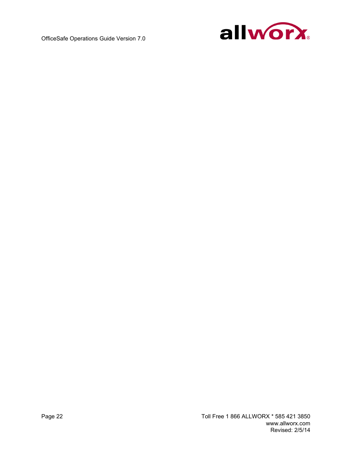OfficeSafe Operations Guide Version 7.0